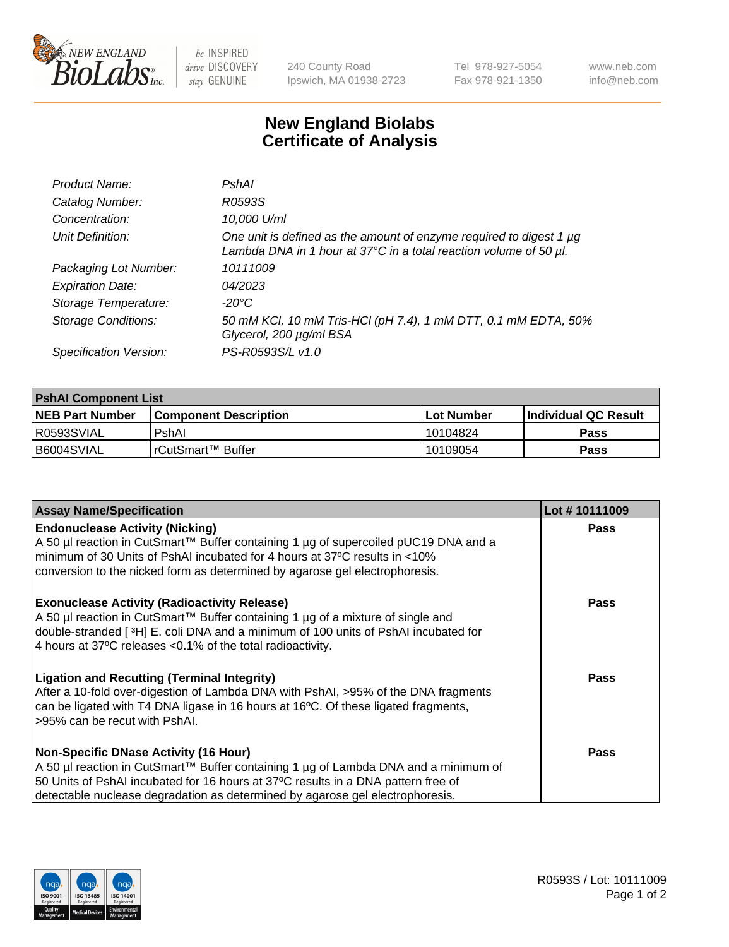

 $be$  INSPIRED drive DISCOVERY stay GENUINE

240 County Road Ipswich, MA 01938-2723 Tel 978-927-5054 Fax 978-921-1350 www.neb.com info@neb.com

## **New England Biolabs Certificate of Analysis**

| Product Name:              | PshAl                                                                                                                                                   |
|----------------------------|---------------------------------------------------------------------------------------------------------------------------------------------------------|
| Catalog Number:            | R0593S                                                                                                                                                  |
| Concentration:             | 10,000 U/ml                                                                                                                                             |
| Unit Definition:           | One unit is defined as the amount of enzyme required to digest 1 µg<br>Lambda DNA in 1 hour at $37^{\circ}$ C in a total reaction volume of 50 $\mu$ l. |
| Packaging Lot Number:      | 10111009                                                                                                                                                |
| <b>Expiration Date:</b>    | 04/2023                                                                                                                                                 |
| Storage Temperature:       | -20°C                                                                                                                                                   |
| <b>Storage Conditions:</b> | 50 mM KCl, 10 mM Tris-HCl (pH 7.4), 1 mM DTT, 0.1 mM EDTA, 50%<br>Glycerol, 200 µg/ml BSA                                                               |
| Specification Version:     | PS-R0593S/L v1.0                                                                                                                                        |

| <b>PshAI Component List</b> |                         |              |                             |  |
|-----------------------------|-------------------------|--------------|-----------------------------|--|
| <b>NEB Part Number</b>      | l Component Description | l Lot Number | <b>Individual QC Result</b> |  |
| I R0593SVIAL                | PshAl                   | l 10104824   | Pass                        |  |
| B6004SVIAL                  | l rCutSmart™ Buffer_    | 10109054     | Pass                        |  |

| <b>Assay Name/Specification</b>                                                                                                                                                                                                                                                                           | Lot #10111009 |
|-----------------------------------------------------------------------------------------------------------------------------------------------------------------------------------------------------------------------------------------------------------------------------------------------------------|---------------|
| <b>Endonuclease Activity (Nicking)</b><br>A 50 µl reaction in CutSmart™ Buffer containing 1 µg of supercoiled pUC19 DNA and a<br>minimum of 30 Units of PshAI incubated for 4 hours at 37°C results in <10%<br>conversion to the nicked form as determined by agarose gel electrophoresis.                | <b>Pass</b>   |
| <b>Exonuclease Activity (Radioactivity Release)</b><br>A 50 µl reaction in CutSmart™ Buffer containing 1 µg of a mixture of single and<br>double-stranded [ <sup>3</sup> H] E. coli DNA and a minimum of 100 units of PshAI incubated for<br>4 hours at 37°C releases < 0.1% of the total radioactivity.  | Pass          |
| <b>Ligation and Recutting (Terminal Integrity)</b><br>After a 10-fold over-digestion of Lambda DNA with PshAI, >95% of the DNA fragments<br>can be ligated with T4 DNA ligase in 16 hours at 16°C. Of these ligated fragments,<br>>95% can be recut with PshAI.                                           | Pass          |
| <b>Non-Specific DNase Activity (16 Hour)</b><br>A 50 µl reaction in CutSmart™ Buffer containing 1 µg of Lambda DNA and a minimum of<br>50 Units of PshAI incubated for 16 hours at 37°C results in a DNA pattern free of<br>detectable nuclease degradation as determined by agarose gel electrophoresis. | Pass          |